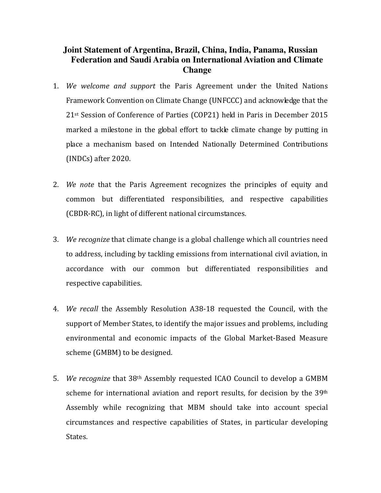## **Joint Statement of Argentina, Brazil, China, India, Panama, Russian Federation and Saudi Arabia on International Aviation and Climate Change**

- 1. We welcome and support the Paris Agreement under the United Nations Framework Convention on Climate Change (UNFCCC) and acknowledge that the 21st Session of Conference of Parties (COP21) held in Paris in December 2015 marked a milestone in the global effort to tackle climate change by putting in place a mechanism based on Intended Nationally Determined Contributions (INDCs) after 2020.
- 2. We note that the Paris Agreement recognizes the principles of equity and common but differentiated responsibilities, and respective capabilities (CBDR-RC), in light of different national circumstances.
- 3. We recognize that climate change is a global challenge which all countries need to address, including by tackling emissions from international civil aviation, in accordance with our common but differentiated responsibilities and respective capabilities.
- 4. We recall the Assembly Resolution A38-18 requested the Council, with the support of Member States, to identify the major issues and problems, including environmental and economic impacts of the Global Market-Based Measure scheme (GMBM) to be designed.
- 5. We recognize that 38th Assembly requested ICAO Council to develop a GMBM scheme for international aviation and report results, for decision by the 39<sup>th</sup> Assembly while recognizing that MBM should take into account special circumstances and respective capabilities of States, in particular developing States.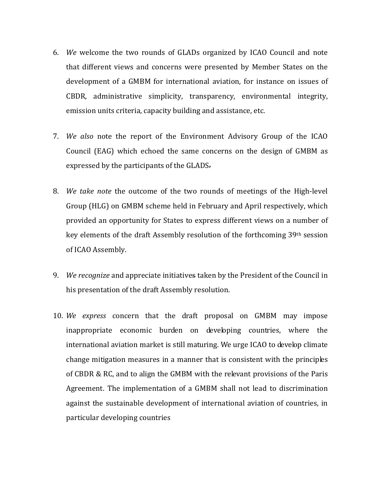- 6. We welcome the two rounds of GLADs organized by ICAO Council and note that different views and concerns were presented by Member States on the development of a GMBM for international aviation, for instance on issues of CBDR, administrative simplicity, transparency, environmental integrity, emission units criteria, capacity building and assistance, etc.
- 7. We also note the report of the Environment Advisory Group of the ICAO Council (EAG) which echoed the same concerns on the design of GMBM as expressed by the participants of the GLADS.
- 8. We take note the outcome of the two rounds of meetings of the High-level Group (HLG) on GMBM scheme held in February and April respectively, which provided an opportunity for States to express different views on a number of key elements of the draft Assembly resolution of the forthcoming 39th session of ICAO Assembly.
- 9. We recognize and appreciate initiatives taken by the President of the Council in his presentation of the draft Assembly resolution.
- 10. We express concern that the draft proposal on GMBM may impose inappropriate economic burden on developing countries, where the international aviation market is still maturing. We urge ICAO to develop climate change mitigation measures in a manner that is consistent with the principles of CBDR & RC, and to align the GMBM with the relevant provisions of the Paris Agreement. The implementation of a GMBM shall not lead to discrimination against the sustainable development of international aviation of countries, in particular developing countries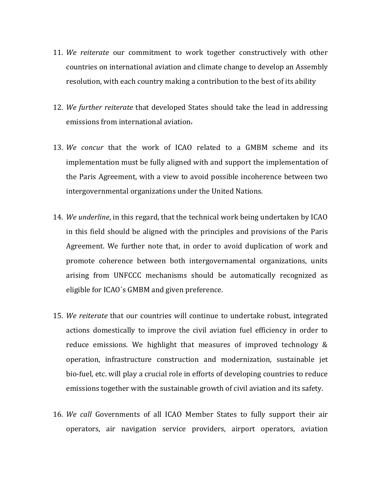- 11. We reiterate our commitment to work together constructively with other countries on international aviation and climate change to develop an Assembly resolution, with each country making a contribution to the best of its ability
- 12. We further reiterate that developed States should take the lead in addressing emissions from international aviation.
- 13. We concur that the work of ICAO related to a GMBM scheme and its implementation must be fully aligned with and support the implementation of the Paris Agreement, with a view to avoid possible incoherence between two intergovernmental organizations under the United Nations.
- 14. We underline, in this regard, that the technical work being undertaken by ICAO in this field should be aligned with the principles and provisions of the Paris Agreement. We further note that, in order to avoid duplication of work and promote coherence between both intergovernamental organizations, units arising from UNFCCC mechanisms should be automatically recognized as eligible for ICAO´s GMBM and given preference.
- 15. We reiterate that our countries will continue to undertake robust, integrated actions domestically to improve the civil aviation fuel efficiency in order to reduce emissions. We highlight that measures of improved technology & operation, infrastructure construction and modernization, sustainable jet bio-fuel, etc. will play a crucial role in efforts of developing countries to reduce emissions together with the sustainable growth of civil aviation and its safety.
- 16. We call Governments of all ICAO Member States to fully support their air operators, air navigation service providers, airport operators, aviation